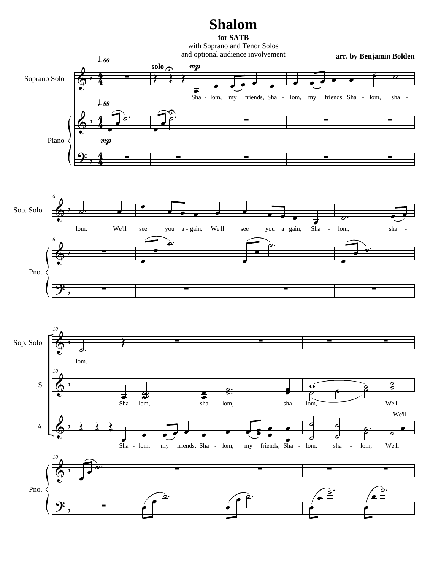## **Shalom**

**for SATB** 

with Soprano and Tenor Solos and optional audience involvement **arr. by Benjamin Bolden**





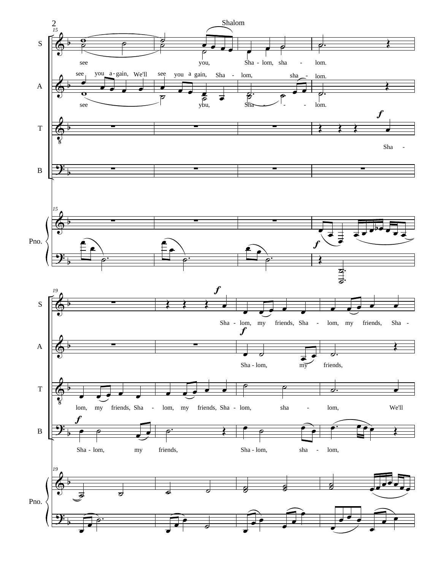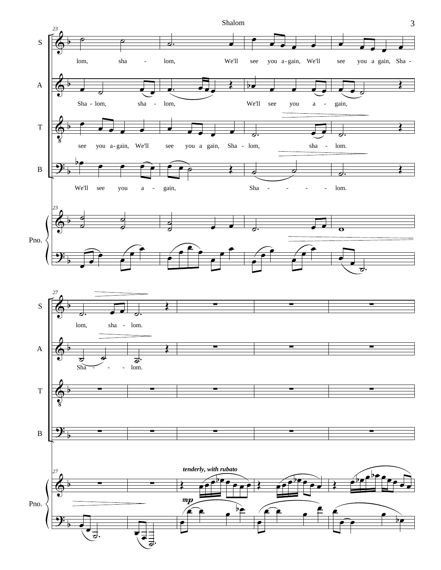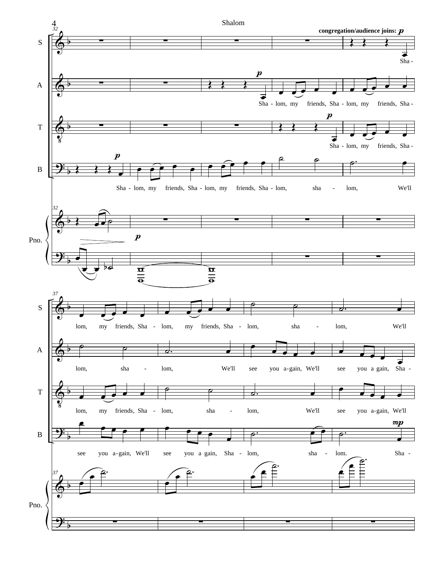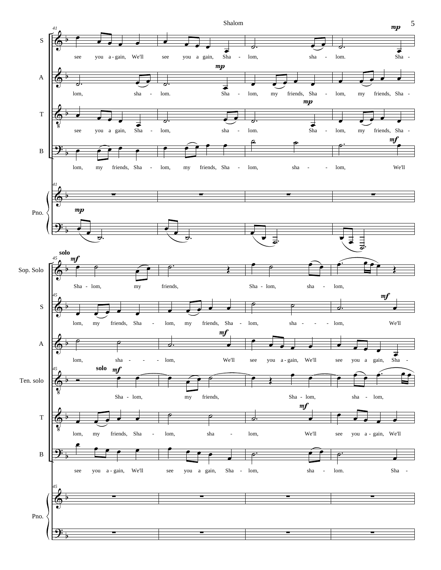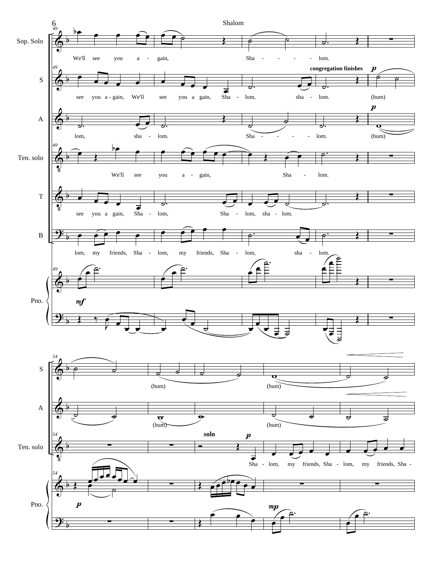